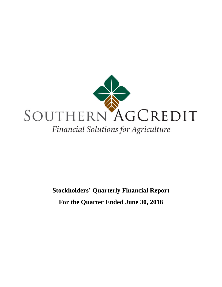

# **Stockholders' Quarterly Financial Report For the Quarter Ended June 30, 2018**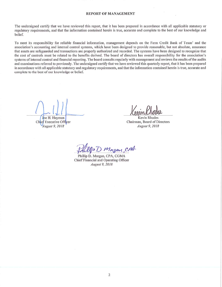#### **REPORT OF MANAGEMENT**

The undersigned certify that we have reviewed this report, that it has been prepared in accordance with all applicable statutory or regulatory requirements, and that the information contained herein is true, accurate and complete to the best of our knowledge and belief.

To meet its responsibility for reliable financial information, management depends on the Farm Credit Bank of Texas' and the association's accounting and internal control systems, which have been designed to provide reasonable, but not absolute, assurance that assets are safeguarded and transactions are properly authorized and recorded. The systems have been designed to recognize that the cost of controls must be related to the benefits derived. The board of directors has overall responsibility for the association's systems of internal control and financial reporting. The board consults regularly with management and reviews the results of the audits and examinations referred to previously. The undersigned certify that we have reviewed this quarterly report, that it has been prepared in accordance with all applicable statutory and regulatory requirements, and that the information contained herein is true, accurate and complete to the best of our knowledge or belief.

Joe H. Hayman

Chief Executive Officer August 9, 2018

Kevin Rhodes Chairman, Board of Directors August 9, 2018

Up D Morgan, CAA

Phillip D. Morgan, CPA, CGMA Chief Financial and Operating Officer August 9, 2018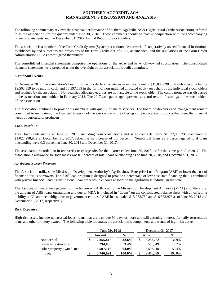# **SOUTHERN AGCREDIT, ACA MANAGEMENT'S DISCUSSION AND ANALYSIS**

The following commentary reviews the financial performance of Southern AgCredit, ACA (Agricultural Credit Association), referred to as the association, for the quarter ended June 30, 2018. These comments should be read in conjunction with the accompanying financial statements and the December 31, 2017 Annual Report to Stockholders.

The association is a member of the Farm Credit System (System), a nationwide network of cooperatively owned financial institutions established by and subject to the provisions of the Farm Credit Act of 1971, as amended, and the regulations of the Farm Credit Administration (FCA) promulgated thereunder.

The consolidated financial statements comprise the operations of the ACA and its wholly-owned subsidiaries. The consolidated financial statements were prepared under the oversight of the association's audit committee.

### **Significant Events:**

In December 2017, the association's board of directors declared a patronage in the amount of \$17,899,898 to stockholders, including \$9,502,359 to be paid in cash, and \$8,397,539 in the form of non-qualified allocated equity on behalf of the individual stockholders and retained by the association. Nonqualified allocated equities are not taxable to the stockholder. The cash patronage was disbursed to the association stockholders in February 2018. The 2017 cash patronage represents a record return of earnings to the stockholders of the association.

The association continues to provide its members with quality financial services. The board of directors and management remain committed to maintaining the financial integrity of the association while offering competitive loan products that meet the financial needs of agricultural producers.

### **Loan Portfolio:**

Total loans outstanding at June 30, 2018, including nonaccrual loans and sales contracts, were \$1,027,953,231 compared to \$1,023,298,902 at December 31, 2017, reflecting an increase of 0.5 percent. Nonaccrual loans as a percentage of total loans outstanding were 0.3 percent at June 30, 2018 and December 31, 2017.

The association recorded no in recoveries or charge-offs for the quarter ended June 30, 2018, or for the same period in 2017. The association's allowance for loan losses was 0.1 percent of total loans outstanding as of June 30, 2018, and December 31, 2017.

#### *Agribusiness Loan Program*

The Association utilizes the Mississippi Development Authority's Agribusiness Enterprise Loan Program (ABE) to lower the cost of financing for its borrowers. The ABE loan program is designed to provide a percentage of low-cost state financing that is combined with private financial lending institutions' loan proceeds to encourage loans to the agribusiness industry in the state.

The Association guarantees payment of the borrower's ABE loan to the Mississippi Development Authority (MDA) and, therefore, the amount of ABE loans outstanding and due to MDA is included in "Loans" on the consolidated balance sheet with an offsetting liability at "Guaranteed obligations to government entities." ABE loans totaled \$15,972,750 and \$16,573,976 as of June 30, 2018 and December 31, 2017, respectively.

## **Risk Exposure:**

High-risk assets include nonaccrual loans, loans that are past due 90 days or more and still accruing interest, formally restructured loans and other property owned. The following table illustrates the association's components and trends of high-risk assets.

|                           | June 30, 2018   |               |    | December 31, 2017 |        |  |  |
|---------------------------|-----------------|---------------|----|-------------------|--------|--|--|
|                           | Amount          | $\frac{0}{0}$ |    | Amount            | %      |  |  |
| Nonaccrual                | \$<br>2,855,815 | 32.6%         | \$ | 3,283,762         | 34.9%  |  |  |
| Formally restructured     | 294,058         | $3.4\%$       |    | 535,519           | 5.7%   |  |  |
| Other property owned, net | 5.597.118       | 64.0%         |    | 5,597,118         | 59.4%  |  |  |
| Total                     | 8,746,991       | 100.0%        |    | 9,416,399         | 100.0% |  |  |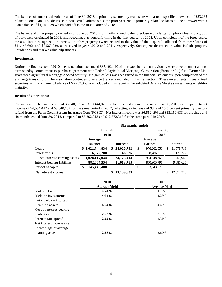The balance of nonaccrual volume as of June 30, 2018 is primarily secured by real estate with a total specific allowance of \$23,262 related to one loan. The decrease in nonaccrual volume since the prior year end is primarily related to loans to one borrower with a loan balance of \$1,141,089 which paid off in the first quarter of 2018.

The balance of other property owned as of June 30, 2018 is primarily related to the foreclosure of a large complex of loans to a group of borrowers originated in 2006, and recognized as nonperforming in the first quarter of 2008. Upon completion of the foreclosure, the association recognized an increase in other property owned related to the value of the acquired collateral from these loans of \$11,145,692, and \$8,563,039, as received in years 2010 and 2011, respectively. Subsequent decreases in value include property liquidations and market value adjustments.

### **Investments:**

During the first quarter of 2010, the association exchanged \$35,192,440 of mortgage loans that previously were covered under a longterm standby commitment to purchase agreement with Federal Agricultural Mortgage Corporation (Farmer Mac) for a Farmer Mac guaranteed agricultural mortgage-backed security. No gain or loss was recognized in the financial statements upon completion of the exchange transaction. The association continues to service the loans included in this transaction. These investments in guaranteed securities, with a remaining balance of \$6,252,360, are included in this report's Consolidated Balance Sheet as investments – held-tomaturity.

#### **Results of Operations:**

The association had net income of \$5,040,189 and \$10,444,026 for the three and six months ended June 30, 2018, as compared to net income of \$4,594,047 and \$9,040,102 for the same period in 2017, reflecting an increase of 9.7 and 15.5 percent primarily due to a refund from the Farm Credit System Insurance Corp (FCSIC). Net interest income was \$6,552,194 and \$13,159,633 for the three and six months ended June 30, 2018, compared to \$6,392,313 and \$12,672,315 for the same period in 2017.

|                               | Six months ended:    |                  |          |               |    |            |  |
|-------------------------------|----------------------|------------------|----------|---------------|----|------------|--|
|                               | <b>June 30,</b>      |                  | June 30, |               |    |            |  |
|                               | 2018                 |                  | 2017     |               |    |            |  |
|                               | Average              |                  |          | Average       |    |            |  |
|                               | <b>Balance</b>       | <b>Interest</b>  |          | Balance       |    | Interest   |  |
| Loans                         | \$1,021,744,834      | \$<br>24,026,792 | \$       | 976,262,050   | \$ | 21,578,713 |  |
| Investments                   | 6,372,200            | 146,626          |          | 8,286,816     |    | 175,227    |  |
| Total interest-earning assets | 1,028,117,034        | 24,173,418       |          | 984,548,866   |    | 21,753,940 |  |
| Interest-bearing liabilities  | 882,667,554          | 11,013,785       |          | 850,905,791   |    | 9,081,625  |  |
| Impact of capital             | \$<br>145,449,480    |                  | \$       | 133,643,075   |    |            |  |
| Net interest income           |                      | 13,159,633<br>\$ |          |               | S  | 12,672,315 |  |
|                               |                      |                  |          |               |    |            |  |
|                               | 2018                 |                  |          | 2017          |    |            |  |
|                               | <b>Average Yield</b> |                  |          | Average Yield |    |            |  |
| Yield on loans                | 4.74%                |                  |          | 4.46%         |    |            |  |
| Yield on investments          | 4.64%                |                  | 4.26%    |               |    |            |  |
| Total yield on interest-      |                      |                  |          |               |    |            |  |
| earning assets                | 4.74%                |                  |          | 4.46%         |    |            |  |
| Cost of interest-bearing      |                      |                  |          |               |    |            |  |
| liabilities                   | $2.52\%$             |                  |          | 2.15%         |    |            |  |
| Interest rate spread          | 2.22%                |                  |          | 2.31%         |    |            |  |
| Net interest income as a      |                      |                  |          |               |    |            |  |
| percentage of average         |                      |                  |          |               |    |            |  |
| earning assets                | 2.58%                |                  |          | 2.60%         |    |            |  |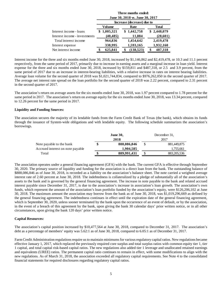|                               | Three months ended:<br>June 30, 2018 vs. June 30, 2017 |           |  |                            |  |              |  |
|-------------------------------|--------------------------------------------------------|-----------|--|----------------------------|--|--------------|--|
|                               |                                                        |           |  | Increase (decrease) due to |  |              |  |
|                               |                                                        | Volume    |  | Rate                       |  | <b>Total</b> |  |
| Interest income - loans       |                                                        | 1,005,321 |  | \$1,442,758                |  | \$2,448,079  |  |
| Interest income - investments |                                                        | (40, 485) |  | 11,884                     |  | (28,601)     |  |
| Total interest income         |                                                        | 964,836   |  | 1,454,642                  |  | 2,419,478    |  |
| Interest expense              |                                                        | 338,995   |  | 1,593,165                  |  | 1,932,160    |  |
| Net interest income           |                                                        | 625,841   |  | (138, 523)                 |  | 487,318      |  |

Interest income for the three and six months ended June 30, 2018, increased by \$1,146,862 and \$2,419,478, or 10.3 and 11.1 percent respectively, from the same period of 2017, primarily due to increase in earning assets and a marginal increase in loan yield. Interest expense for the three and six months ended June 30, 2018, increased by \$159,811 and \$487,318, or 2.5 and 3.9 percent, from the same period of 2017 due to an increase in interest-bearing liabilities, with a relative increase in rates on interest bearing liabilities. Average loan volume for the second quarter of 2018 was \$1,021,744,834, compared to \$976,262,050 in the second quarter of 2017. The average net interest rate spread on the loan portfolio for the second quarter of 2018 was 2.22 percent, compared to 2.31 percent in the second quarter of 2017.

The association's return on average assets for the six months ended June 30, 2018, was 1.97 percent compared to 1.78 percent for the same period in 2017. The association's return on average equity for the six months ended June 30, 2018, was 13.34 percent, compared to 12.26 percent for the same period in 2017.

## **Liquidity and Funding Sources:**

The association secures the majority of its lendable funds from the Farm Credit Bank of Texas (the bank), which obtains its funds through the issuance of System-wide obligations and with lendable equity. The following schedule summarizes the association's borrowings.

|                                  | <b>June 30,</b>   | December 31. |               |  |  |
|----------------------------------|-------------------|--------------|---------------|--|--|
|                                  | 2018              |              | 2017          |  |  |
| Note payable to the bank         | \$<br>888,086,846 | \$           | 881,449,875   |  |  |
| Accrued interest on note payable | 1.904.585         |              | 1,755,661     |  |  |
| Total                            | 889,991,431       |              | 883, 205, 536 |  |  |

The association operates under a general financing agreement (GFA) with the bank. The current GFA is effective through September 30, 2020. The primary source of liquidity and funding for the association is a direct loan from the bank. The outstanding balance of \$888,086,846 as of June 30, 2018, is recorded as a liability on the association's balance sheet. The note carried a weighted average interest rate of 2.60 percent at June 30, 2018. The indebtedness is collateralized by a pledge of substantially all of the association's assets to the bank and is governed by the general financing agreement. The increase in note payable to the bank and related accrued interest payable since December 31, 2017, is due to the association's increase in association's loan growth. The association's own funds, which represent the amount of the association's loan portfolio funded by the association's equity, were \$126,206,102 at June 30, 2018. The maximum amount the association may borrow from the bank as of June 30, 2018, was \$1,019,296,669 as defined by the general financing agreement. The indebtedness continues in effect until the expiration date of the general financing agreement, which is September 30, 2020, unless sooner terminated by the bank upon the occurrence of an event of default, or by the association, in the event of a breach of this agreement by the bank, upon giving the bank 30 calendar days' prior written notice, or in all other circumstances, upon giving the bank 120 days' prior written notice.

#### **Capital Resources:**

The association's capital position increased by \$10,477,564 at June 30, 2018, compared to December 31, 2017. The association's debt as a percentage of members' equity was 5.62:1 as of June 30, 2018, compared to 6.05:1 as of December 31, 2017.

Farm Credit Administration regulations require us to maintain minimums for various regulatory capital ratios. New regulations became effective January 1, 2017, which replaced the previously required core surplus and total surplus ratios with common equity tier 1, tier 1 capital, and total capital risk-based capital ratios. The new regulations also added tier 1 leverage and unallocated retained earnings and equivalents (UREE) ratios. The permanent capital ratio continues to remain in effect, with some modifications to align with the new regulations. As of March 31, 2018, the association exceeded all regulatory capital requirements. See Note 4 to the consolidated financial statements for required disclosures regarding regulatory capital ratios.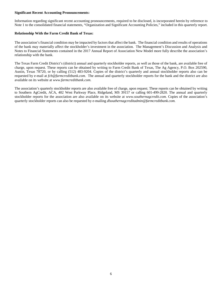### **Significant Recent Accounting Pronouncements:**

Information regarding significant recent accounting pronouncements, required to be disclosed, is incorporated herein by reference to Note 1 to the consolidated financial statements, "Organization and Significant Accounting Policies," included in this quarterly report.

## **Relationship With the Farm Credit Bank of Texas:**

The association's financial condition may be impacted by factors that affect the bank. The financial condition and results of operations of the bank may materially affect the stockholder's investment in the association. The Management's Discussion and Analysis and Notes to Financial Statements contained in the 2017 Annual Report of Association New Model more fully describe the association's relationship with the bank.

The Texas Farm Credit District's (district) annual and quarterly stockholder reports, as well as those of the bank, are available free of charge, upon request. These reports can be obtained by writing to Farm Credit Bank of Texas, The Ag Agency, P.O. Box 202590, Austin, Texas 78720, or by calling (512) 483-9204. Copies of the district's quarterly and annual stockholder reports also can be requested by e-mail at *fcb@farmcreditbank.com*[.](mailto:ktankersley@farmcreditbank.com) The annual and quarterly stockholder reports for the bank and the district are also available on its website at *www.farmcreditbank.com.*

The association's quarterly stockholder reports are also available free of charge, upon request. These reports can be obtained by writing to Southern AgCredit, ACA, 402 West Parkway Place, Ridgeland, MS 39157 or calling 601-499-2820. The annual and quarterly stockholder reports for the association are also available on its website at *www.southernagcredit.com.* Copies of the association's quarterly stockholder reports can also be requested by e-mailing *dlsouthernagcreditadmin@farmcreditbank.com.*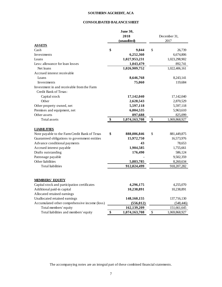# **SOUTHERN AGCREDIT, ACA**

# **CONSOLIDATED BALANCE SHEET**

|                                               |      | June 30,      |      |               |  |
|-----------------------------------------------|------|---------------|------|---------------|--|
|                                               | 2018 |               |      | December 31,  |  |
|                                               |      | (unaudited)   | 2017 |               |  |
| <b>ASSETS</b>                                 |      |               |      |               |  |
| Cash                                          | \$   | 9,844         | \$   | 26,739        |  |
| Investments                                   |      | 6,252,360     |      | 6,674,806     |  |
| Loans                                         |      | 1,027,953,231 |      | 1,023,298,902 |  |
| Less: allowance for loan losses               |      | 1,043,479     |      | 892,741       |  |
| Net loans                                     |      | 1,026,909,752 |      | 1,022,406,161 |  |
| Accrued interest receivable                   |      |               |      |               |  |
| Loans                                         |      | 8,646,768     |      | 8,243,141     |  |
| Investments                                   |      | 75,060        |      | 119,684       |  |
| Investment in and receivable from the Farm    |      |               |      |               |  |
| Credit Bank of Texas:                         |      |               |      |               |  |
| Capital stock                                 |      | 17,142,040    |      | 17,142,040    |  |
| Other                                         |      | 2,628,543     |      | 2,870,529     |  |
| Other property owned, net                     |      | 5,597,118     |      | 5,597,118     |  |
| Premises and equipment, net                   |      | 6,004,535     |      | 5,963,610     |  |
| Other assets                                  |      | 897,688       |      | 825,099       |  |
| Total assets                                  | \$   | 1,074,163,708 | \$   | 1,069,868,927 |  |
| <b>LIABILITIES</b>                            |      |               |      |               |  |
| Note payable to the Farm Credit Bank of Texas | \$   | 888,086,846   | \$   | 881,449,875   |  |
| Guaranteed obligations to government entities |      | 15,972,750    |      | 16,573,976    |  |
| Advance conditional payments                  |      | 43            |      | 78,653        |  |
| Accrued interest payable                      |      | 1,904,585     |      | 1,755,661     |  |
| Drafts outstanding                            |      | 176,490       |      | 586,124       |  |
| Patronage payable                             |      |               |      | 9,502,359     |  |
| Other liabilities                             |      | 5,883,785     |      | 8,260,634     |  |
| <b>Total liabilities</b>                      |      | 912,024,499   |      | 918, 207, 282 |  |
|                                               |      |               |      |               |  |
| <b>MEMBERS' EOUTY</b>                         |      |               |      |               |  |
| Capital stock and participation certificates  |      | 4,296,175     |      | 4,255,070     |  |
| Additional paid-in capital                    |      | 10,238,891    |      | 10,238,891    |  |
| Allocated retained earnings                   |      |               |      |               |  |
| Unallocated retained earnings                 |      | 148,160,155   |      | 137,716,130   |  |
| Accumulated other comprehensive income (loss) |      | (556, 012)    |      | (548, 446)    |  |
| Total members' equity                         |      | 162,139,209   |      | 151,661,645   |  |
| Total liabilities and members' equity         | \$   | 1,074,163,708 | \$   | 1,069,868,927 |  |

The accompanying notes are an integral part of these combined financial statements.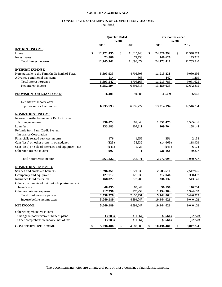## **SOUTHERN AGCREDIT, ACA**

# **CONSOLIDATED STATEMENTS OF COMPREHENSIVE INCOME**

(unaudited)

|                                                                         | <b>Quarter Ended</b> |                 |              | six months ended |    |                 |      |            |
|-------------------------------------------------------------------------|----------------------|-----------------|--------------|------------------|----|-----------------|------|------------|
|                                                                         |                      | <b>June 30,</b> |              |                  |    | <b>June 30,</b> |      |            |
|                                                                         |                      | 2018            |              | 2017             |    | 2018            |      | 2017       |
| <b>INTEREST INCOME</b>                                                  |                      |                 |              |                  |    |                 |      |            |
| Loans                                                                   | \$                   | 12,171,455      | \$           | 11,025,746       | \$ | 24,026,792      | \$   | 21,578,713 |
| Investments                                                             |                      | 73,886          |              | 72,733           |    | 146,626         |      | 175,227    |
| Total interest income                                                   |                      | 12,245,341      |              | 11,098,479       |    | 24,173,418      |      | 21,753,940 |
| <b>INTEREST EXPENSE</b>                                                 |                      |                 |              |                  |    |                 |      |            |
| Note payable to the Farm Credit Bank of Texas                           |                      | 5,693,033       |              | 4,705,803        |    | 11,013,338      |      | 9,080,356  |
| Advance conditional payments                                            |                      | 114             |              | 363              |    | 447             |      | 1,269      |
| Total interest expense                                                  |                      | 5,693,147       |              | 4,706,166        |    | 11,013,785      |      | 9,081,625  |
| Net interest income                                                     |                      | 6,552,194       |              | 6,392,313        |    | 13,159,633      |      | 12,672,315 |
| <b>PROVISION FOR LOAN LOSSES</b>                                        |                      | 16,401          |              | 94,586           |    | 145,439         |      | 156,061    |
| Net interest income after                                               |                      |                 |              |                  |    |                 |      |            |
| provision for loan losses                                               |                      | 6,535,793       |              | 6,297,727        |    | 13,014,194      |      | 12,516,254 |
| <b>NONINTEREST INCOME</b><br>Income from the Farm Credit Bank of Texas: |                      |                 |              |                  |    |                 |      |            |
| Patronage income                                                        |                      | 930,022         |              | 801,840          |    | 1,851,475       |      | 1,595,631  |
| Loan fees                                                               |                      | 133,183         |              | 107,311          |    | 209,704         |      | 158,144    |
| Refunds from Farm Credit System<br><b>Insurance Corporation</b>         |                      |                 |              |                  |    |                 |      |            |
| Financially related services income                                     |                      | 176             |              | 1,959            |    | 351             |      | 2,138      |
| Gain (loss) on other property owned, net                                |                      | (223)           |              | 35,532           |    | (14,060)        |      | 118,903    |
| Gain (loss) on sale of premises and equipment, net                      |                      | (943)           |              | 5,428            |    | (943)           |      | 6,124      |
| Other noninterest income                                                |                      | 907             |              | 1                |    | 526,168         |      | 69,827     |
| Total noninterest income                                                |                      | 1,063,122       |              | 952,071          |    | 2,572,695       |      | 1,950,767  |
| <b>NONINTEREST EXPENSES</b>                                             |                      |                 |              |                  |    |                 |      |            |
| Salaries and employee benefits                                          |                      | 1,296,351       |              | 1,221,035        |    | 2,603,511       |      | 2,547,975  |
| Occupancy and equipment                                                 |                      | 127,717         |              | 126,630          |    | 312,046         |      | 300,497    |
| Insurance Fund premiums                                                 |                      | 168,827         |              | 273,288          |    | 336,132         |      | 543,141    |
| Other components of net periodic postretirement                         |                      |                 |              |                  |    |                 |      |            |
| benefit cost                                                            |                      | 48,095          |              | 63,844           |    | 96,190          |      | 110,704    |
| Other noninterest expense                                               |                      | 917,736         |              | 970,954          |    | 1,794,984       |      | 1,924,602  |
| Total noninterest expenses                                              |                      | 2,558,726       |              | 2,655,751        |    | 5,142,863       |      | 5,426,919  |
| Income before income taxes                                              |                      | 5,040,189       |              | 4,594,047        |    | 10,444,026      |      | 9,040,102  |
| <b>NET INCOME</b>                                                       |                      | 5,040,189       |              | 4,594,047        |    | 10,444,026      |      | 9,040,102  |
| Other comprehensive income:                                             |                      |                 |              |                  |    |                 |      |            |
| Change in postretirement benefit plans                                  |                      | (3,783)         |              | (11, 364)        |    | (7, 566)        |      | (22, 728)  |
| Other comprehensive income, net of tax                                  |                      | (3,783)         |              | (11, 364)        |    | (7, 566)        |      | (22, 728)  |
| <b>COMPREHENSIVE INCOME</b>                                             | \$                   | 5,036,406       | $\mathbb{S}$ | 4,582,683        | \$ | 10,436,460      | $\$$ | 9,017,374  |

The accompanying notes are an integral part of these combined financial statements.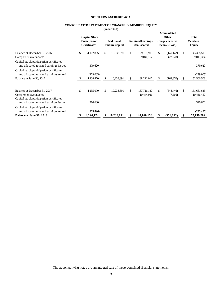## **SOUTHERN AGCREDIT, ACA**

# **CONSOLIDATED STATEMENT OF CHANGES IN MEMBERS' EQUITY**

(unaudited)

|                                                                                                                                            | Capital Stock/<br>Participation<br><b>Certificates</b> |    | <b>Additional</b><br>Paid-in-Capital | <b>Retained Earnings</b><br><b>Unallocated</b> | Accumulated<br><b>Other</b><br>Comprehensive<br>Income (Loss) | <b>Total</b><br>Members'<br>Equity         |
|--------------------------------------------------------------------------------------------------------------------------------------------|--------------------------------------------------------|----|--------------------------------------|------------------------------------------------|---------------------------------------------------------------|--------------------------------------------|
| Balance at December 31, 2016<br>Comprehensive income                                                                                       | \$<br>4,107,855                                        | \$ | 10,238,891                           | \$<br>129, 181, 915<br>9,040,102               | \$<br>(140, 142)<br>(22, 728)                                 | \$<br>143,388,519<br>9,017,374             |
| Capital stock/participation certificates<br>and allocated retained earnings issued                                                         | 379,620                                                |    |                                      |                                                |                                                               | 379,620                                    |
| Capital stock/participation certificates<br>and allocated retained earnings retired<br>Balance at June 30, 2017                            | (279,005)<br>4,208,470                                 | S  | 10,238,891                           | \$<br>138,222,017                              | \$<br>(162, 870)                                              | (279,005)<br>152,506,508                   |
|                                                                                                                                            |                                                        |    |                                      |                                                |                                                               |                                            |
| Balance at December 31, 2017<br>Comprehensive income<br>Capital stock/participation certificates<br>and allocated retained earnings issued | \$<br>4,255,070<br>316,600                             | \$ | 10,238,891                           | \$<br>137,716,130<br>10,444,026                | \$<br>(548, 446)<br>(7,566)                                   | \$<br>151,661,645<br>10,436,460<br>316,600 |
| Capital stock/participation certificates<br>and allocated retained earnings retired                                                        | (275, 496)                                             |    |                                      |                                                |                                                               | (275, 496)                                 |
| Balance at June 30, 2018                                                                                                                   | 4,296,174                                              |    | 10,238,891                           | 148,160,156                                    | (556, 012)                                                    | 162,139,209                                |

The accompanying notes are an integral part of these combined financial statements.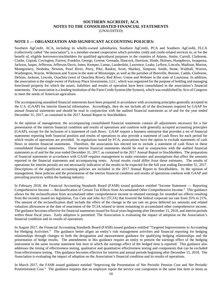## **SOUTHERN AGCREDIT, ACA NOTES TO THE CONSOLIDATED FINANCIAL STATEMENTS** (UNAUDITED)

# **NOTE 1 — ORGANIZATION AND SIGNIFICANT ACCOUNTING POLICIES:**

Southern AgCredit, ACA, including its wholly-owned subsidiaries, Southern AgCredit, PCA and Southern AgCredit, FLCA (collectively called "the association"), is a member-owned cooperative which provides credit and credit-related services to, or for the benefit of, eligible borrowers/stockholders for qualified agricultural purposes in the counties of Adams, Amite, Carroll, Claiborne, Clarke, Copiah, Covington, Forrest, Franklin, George, Greene, Grenada, Hancock, Harrison, Hinds, Holmes, Humphreys, Issaquena, Jackson, Jasper, Jefferson, Jefferson Davis, Jones, Kemper, Lamar, Lauderdale, Lawrence, Leake, Leflore, Lincoln, Madison, Marion, Montgomery, Neshoba, Newton, Pearl River, Perry, Pike, Rankin, Scott, Sharkey, Simpson, Smith, Stone, Walthall, Warren, Washington, Wayne, Wilkinson and Yazoo in the state of Mississippi, as well as the parishes of Bienville, Bossier, Caddo, Claiborne, DeSoto, Jackson, Lincoln, Ouachita (west of Ouachita River), Red River, Union and Webster in the state of Louisiana. In addition, the association is the single owner of Parkway Place Investments, LLC, which was organized for the purpose of holding and managing foreclosed property for which the assets, liabilities and results of operation have been consolidated in the association's financial statements. The association is a lending institution of the Farm Credit System (the System), which was established by Acts of Congress to meet the needs of American agriculture.

The accompanying unaudited financial statements have been prepared in accordance with accounting principles generally accepted in the U.S. (GAAP) for interim financial information. Accordingly, they do not include all of the disclosures required by GAAP for annual financial statements and should be read in conjunction with the audited financial statements as of and for the year ended December 31, 2017, as contained in the 2017 Annual Report to Stockholders.

In the opinion of management, the accompanying consolidated financial statements contain all adjustments necessary for a fair presentation of the interim financial condition and results of operations and conform with generally accepted accounting principles (GAAP), except for the inclusion of a statement of cash flows. GAAP require a business enterprise that provides a set of financial statements reporting both financial position and results of operations to also provide a statement of cash flows for each period for which results of operations are provided. In regulations issued by FCA, associations have the option to exclude statements of cash flows in interim financial statements. Therefore, the association has elected not to include a statement of cash flows in these consolidated financial statements. These interim financial statements should be read in conjunction with the audited financial statements as of and for the year ended December 31, 2017, as contained in the 2017 Annual Report to Stockholders. The preparation of financial statements in accordance with GAAP requires management to make estimates and assumptions that affect the amounts reported in the financial statements and accompanying notes. Actual results could differ from those estimates. The results of operations for interim periods are not necessarily indicative of the results to be expected for the full year ending December 31, 2017. Descriptions of the significant accounting policies are included in the 2017 Annual Report to Stockholders. In the opinion of management, these policies and the presentation of the interim financial condition and results of operations conform with GAAP and prevailing practices within the banking industry.

In February 2018, the Financial Accounting Standards Board (FASB) issued guidance entitled "Income Statement — Reporting Comprehensive Income — Reclassification of Certain Tax Effects from Accumulated Other Comprehensive Income." This guidance allows for the reclassification from accumulated other comprehensive income to retained earnings for stranded tax effects resulting from the recently issued tax legislation, Tax Cuts and Jobs Act (TCJA) that lowered the federal corporate tax rate from 35% to 21%. The amount of the reclassification shall include the effect of the change in the tax rate on gross deferred tax amounts and related valuation allowances at the date of enactment of the TCJA related to items remaining in accumulated other comprehensive income. The guidance becomes effective for financial statements issued for fiscal years beginning after December 15, 2018, and interim periods within those fiscal years. Early adoption is permitted. The Association is evaluating the impact of adoption on the Association's financial condition and its results of operations.

In August 2017, the Financial Accounting Standards Board (FASB) issued guidance entitled "Targeted Improvements to Accounting for Hedging Activities." The guidance better aligns an entity's risk management activities and financial reporting for hedging relationships through changes to both the designation and measurement guidance for qualifying hedging relationships and the presentation of hedge results. The amendments in this guidance require an entity to present the earnings effect of the hedging instrument in the same income statement line item in which the earnings effect of the hedged item is reported. This guidance also addresses the timing of effectiveness testing, qualitative and quantitative effectiveness testing and components that can be excluded from effectiveness testing. This guidance becomes effective for interim and annual periods beginning after December 15, 2018. The Association is evaluating the impact of adoption on the Association's financial condition and its results of operations.

In March 2017, the FASB issued guidance entitled "Improving the Presentation of Net Periodic Pension Cost and Net Periodic Postretirement Cost." The guidance requires that an employer report the service cost component in the same line item or items as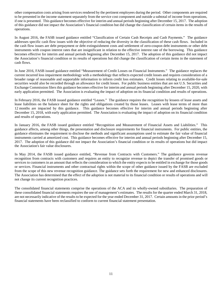other compensation costs arising from services rendered by the pertinent employees during the period. Other components are required to be presented in the income statement separately from the service cost component and outside a subtotal of income from operations, if one is presented. This guidance becomes effective for interim and annual periods beginning after December 15, 2017. The adoption of this guidance did not impact the Association's financial condition but did change the classification of certain items in the results of operations.

In August 2016, the FASB issued guidance entitled "Classification of Certain Cash Receipts and Cash Payments." The guidance addresses specific cash flow issues with the objective of reducing the diversity in the classification of these cash flows. Included in the cash flow issues are debt prepayment or debt extinguishment costs and settlement of zero-coupon debt instruments or other debt instruments with coupon interest rates that are insignificant in relation to the effective interest rate of the borrowing. This guidance becomes effective for interim and annual periods beginning after December 15, 2017. The adoption of this guidance did not impact the Association's financial condition or its results of operations but did change the classification of certain items in the statement of cash flows.

In June 2016, FASB issued guidance entitled "Measurement of Credit Losses on Financial Instruments." The guidance replaces the current incurred loss impairment methodology with a methodology that reflects expected credit losses and requires consideration of a broader range of reasonable and supportable information to inform credit loss estimates. Credit losses relating to available-for-sale securities would also be recorded through an allowance for credit losses. For public business entities that are not U.S. Securities and Exchange Commission filers this guidance becomes effective for interim and annual periods beginning after December 15, 2020, with early application permitted. The Association is evaluating the impact of adoption on its financial condition and results of operations.

In February 2016, the FASB issued guidance entitled "Leases." The guidance requires the recognition by lessees of lease assets and lease liabilities on the balance sheet for the rights and obligations created by those leases. Leases with lease terms of more than 12 months are impacted by this guidance. This guidance becomes effective for interim and annual periods beginning after December 15, 2018, with early application permitted. The Association is evaluating the impact of adoption on its financial condition and results of operations.

In January 2016, the FASB issued guidance entitled "Recognition and Measurement of Financial Assets and Liabilities." This guidance affects, among other things, the presentation and disclosure requirements for financial instruments. For public entities, the guidance eliminates the requirement to disclose the methods and significant assumptions used to estimate the fair value of financial instruments carried at amortized cost. This guidance becomes effective for interim and annual periods beginning after December 15, 2017. The adoption of this guidance did not impact the Association's financial condition or its results of operations but did impact the Association's fair value disclosures.

In May 2014, the FASB issued guidance entitled, "Revenue from Contracts with Customers." The guidance governs revenue recognition from contracts with customers and requires an entity to recognize revenue to depict the transfer of promised goods or services to customers in an amount that reflects the consideration to which the entity expects to be entitled in exchange for those goods or services. Financial instruments and other contractual rights within the scope of other guidance issued by the FASB are excluded from the scope of this new revenue recognition guidance. The guidance sets forth the requirement for new and enhanced disclosures. The Association has determined that the effect of the adoption is not material to its financial condition or results of operations and will not change its current recognition practices.

The consolidated financial statements comprise the operations of the ACA and its wholly-owned subsidiaries. The preparation of these consolidated financial statements requires the use of management's estimates. The results for the quarter ended March 31, 2018, are not necessarily indicative of the results to be expected for the year ended December 31, 2017. Certain amounts in the prior period's financial statements have been reclassified to conform to current financial statement presentation.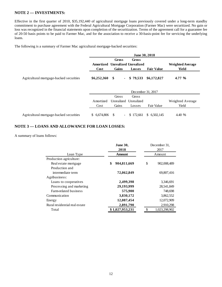# **NOTE 2 — INVESTMENTS:**

Effective in the first quarter of 2010, \$35,192,440 of agricultural mortgage loans previously covered under a long-term standby commitment to purchase agreement with the Federal Agricultural Mortgage Corporation (Farmer Mac) were securitized. No gain or loss was recognized in the financial statements upon completion of the securitization. Terms of the agreement call for a guarantee fee of 20-50 basis points to be paid to Farmer Mac, and for the association to receive a 30-basis-point fee for servicing the underlying loans.

The following is a summary of Farmer Mac agricultural mortgage-backed securities:

|                                         |                           |                                 | June 30, 2018                                      |                   |                                  |
|-----------------------------------------|---------------------------|---------------------------------|----------------------------------------------------|-------------------|----------------------------------|
|                                         | Cost                      | <b>Gross</b><br>Gains           | Gross<br>Amortized Unrealized Unrealized<br>Losses | <b>Fair Value</b> | <b>Weighted Average</b><br>Yield |
| Agricultural mortgage-backed securities | \$6,252,360               | \$<br>$\blacksquare$            | \$79,533                                           | \$6,172,827       | 4.77 %                           |
|                                         |                           | Gross                           | December 31, 2017<br>Gross                         |                   |                                  |
|                                         | <b>A</b> mortized<br>Cost | Unrealized<br>Gains             | Unrealized<br>Losses                               | Fair Value        | Weighted Average<br>Yield        |
| Agricultural mortgage-backed securities | 6,674,806<br>S.           | <sup>\$</sup><br>$\blacksquare$ | \$172,661                                          | \$6,502,145       | 4.40 %                           |

# **NOTE 3 — LOANS AND ALLOWANCE FOR LOAN LOSSES:**

A summary of loans follows:

|                               | <b>June 30,</b>   | December 31. |               |  |
|-------------------------------|-------------------|--------------|---------------|--|
|                               | 2018              | 2017         |               |  |
| Loan Type                     | Amount            |              | Amount        |  |
| Production agriculture:       |                   |              |               |  |
| Real estate mortgage          | \$<br>904,811,669 | \$           | 902,008,489   |  |
| Production and                |                   |              |               |  |
| intermediate term             | 72,062,849        |              | 69,807,416    |  |
| Agribusiness:                 |                   |              |               |  |
| Loans to cooperatives         | 2,499,398         |              | 3,346,691     |  |
| Processing and marketing      | 29,193,999        |              | 28,541,849    |  |
| Farm-related business         | 575,900           |              | 748,698       |  |
| Communication                 | 3,830,172         |              | 3,862,552     |  |
| Energy                        | 12,087,454        |              | 12,072,909    |  |
| Rural residential real estate | 2,891,790         |              | 2,910,298     |  |
| Total                         | \$1,027,953,231   | \$           | 1,023,298,902 |  |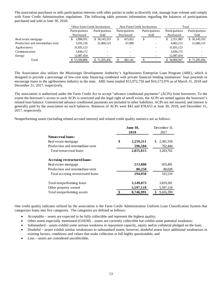The association purchases or sells participation interests with other parties in order to diversify risk, manage loan volume and comply with Farm Credit Administration regulations. The following table presents information regarding the balances of participations purchased and sold at June 30, 2018:

|                                  | <b>Other Farm Credit Institutions</b> |                | Non-Farm Credit Institutions |                                | Total           |                |  |
|----------------------------------|---------------------------------------|----------------|------------------------------|--------------------------------|-----------------|----------------|--|
|                                  | Participations                        | Participations | Participations               | Participations                 | Participations  | Participations |  |
|                                  | Purchased                             | Sold           | Purchased                    | Sold                           | Purchased       | Sold           |  |
| Real estate mortgage             | 1.896.931                             | \$ 50,145,333  | 415,052                      | \$<br>$\overline{\phantom{0}}$ | 2,311,983<br>S. | \$50,145,333   |  |
| Production and intermediate term | 3,935,126                             | 21,060,123     | 67,089                       |                                | 4,002,215       | 21,060,123     |  |
| Agribusiness                     | 31,835,123                            |                |                              |                                | 31,835,123      |                |  |
| Communication                    | 3,830,172                             |                |                              |                                | 3,830,172       |                |  |
| Energy                           | 12,087,454                            |                |                              |                                | 12,087,454      |                |  |
| Total                            | \$53,584,806                          | \$71,205,456   | 482,141                      |                                | \$54,066,947    | \$71,205,456   |  |

The Association also utilizes the Mississippi Development Authority's Agribusiness Enterprise Loan Program (ABE), which is designed to provide a percentage of low-cost state financing combined with private financial lending institutions' loan proceeds to encourage loans to the agribusiness industry in the state. ABE loans totaled \$15,972,750 and \$16,573,976 as of March 31, 2018 and December 31, 2017, respectively.

The association is authorized under the Farm Credit Act to accept "advance conditional payments" (ACPs) from borrowers. To the extent the borrower's access to such ACPs is restricted and the legal right of setoff exists, the ACPs are netted against the borrower's related loan balance. Unrestricted advance conditional payments are included in other liabilities. ACPs are not insured, and interest is generally paid by the association on such balances. Balances of ACPs were \$43 and \$78,653 at June 30, 2018, and December 31, 2017, respectively.

Nonperforming assets (including related accrued interest) and related credit quality statistics are as follows:

|                                   | <b>June 30,</b> |           | December 31.     |
|-----------------------------------|-----------------|-----------|------------------|
|                                   |                 | 2018      | 2017             |
| <b>Nonaccrual loans:</b>          |                 |           |                  |
| Real estate mortgage              | \$              | 2,259,311 | 2,581,318<br>\$. |
| Production and intermediate term  |                 | 596,504   | 702,444          |
| Total nonaccrual loans            |                 | 2,855,815 | 3,283,762        |
| Accruing restructured loans:      |                 |           |                  |
| Real estate mortgage              |                 | 213,808   | 455,491          |
| Production and intermediate term  |                 | 80,250    | 80,028           |
| Total accruing restructured loans |                 | 294,058   | 535,519          |
| Total nonperforming loans         |                 | 3,149,873 | 3,819,281        |
| Other property owned              |                 | 5,597,118 | 5,597,118        |
| Total nonperforming assets        |                 | 8,746,991 | 9,416,399        |

One credit quality indicator utilized by the association is the Farm Credit Administration Uniform Loan Classification System that categorizes loans into five categories. The categories are defined as follows:

- Acceptable assets are expected to be fully collectible and represent the highest quality;
- Other assets especially mentioned (OAEM) assets are currently collectible but exhibit some potential weakness;
- Substandard assets exhibit some serious weakness in repayment capacity, equity and/or collateral pledged on the loan;
- Doubtful assets exhibit similar weaknesses to substandard assets; however, doubtful assets have additional weaknesses in existing factors, conditions and values that make collection in full highly questionable; and
- Loss assets are considered uncollectible.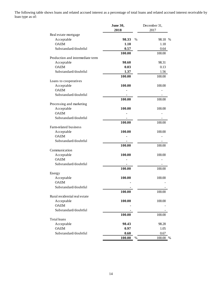The following table shows loans and related accrued interest as a percentage of total loans and related accrued interest receivable by loan type as of:

|                                  | June 30,               | December 31, |
|----------------------------------|------------------------|--------------|
|                                  | 2018                   | 2017         |
| Real estate mortgage             |                        |              |
| Acceptable                       | 98.33<br>$\frac{0}{0}$ | 98.18 %      |
| <b>OAEM</b>                      | 1.10                   | 1.18         |
| Substandard/doubtful             | 0.57                   | 0.64         |
|                                  | 100.00                 | 100.00       |
| Production and intermediate term |                        |              |
| Acceptable                       | 98.60                  | 98.31        |
| <b>OAEM</b>                      | 0.03                   | 0.13         |
| Substandard/doubtful             | 1.37                   | 1.56         |
|                                  | 100.00                 | 100.00       |
| Loans to cooperatives            |                        |              |
| Acceptable                       | 100.00                 | 100.00       |
| <b>OAEM</b>                      |                        |              |
| Substandard/doubtful             |                        |              |
|                                  | 100.00                 | 100.00       |
| Processing and marketing         |                        |              |
| Acceptable                       | 100.00                 | 100.00       |
| <b>OAEM</b>                      |                        |              |
| Substandard/doubtful             |                        |              |
|                                  |                        |              |
|                                  | 100.00                 | 100.00       |
| Farm-related business            |                        |              |
| Acceptable                       | 100.00                 | 100.00       |
| <b>OAEM</b>                      |                        |              |
| Substandard/doubtful             |                        |              |
|                                  | 100.00                 | 100.00       |
| Communication                    |                        |              |
| Acceptable                       | 100.00                 | 100.00       |
| <b>OAEM</b>                      |                        |              |
| Substandard/doubtful             |                        |              |
|                                  | 100.00                 | 100.00       |
| Energy                           |                        |              |
| Acceptable                       | 100.00                 | 100.00       |
| <b>OAEM</b>                      |                        |              |
| Substandard/doubtful             |                        |              |
|                                  | 100.00                 | 100.00       |
| Rural residential real estate    |                        |              |
| Acceptable                       | 100.00                 | 100.00       |
| <b>OAEM</b>                      |                        |              |
| Substandard/doubtful             |                        |              |
|                                  | 100.00                 | 100.00       |
| Total loans                      |                        |              |
| Acceptable                       | 98.43                  | 98.28        |
| <b>OAEM</b>                      | 0.97                   | 1.05         |
| Substandard/doubtful             | 0.60                   | 0.67         |
|                                  | 100.00<br>$\%$         | 100.00<br>%  |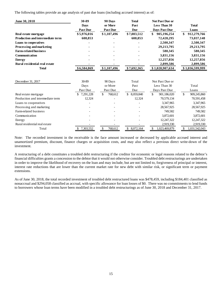The following tables provide an age analysis of past due loans (including accrued interest) as of:

| June 30, 2018                           | 30-89<br><b>Days</b> | 90 Days<br>or More | <b>Total</b><br>Past | Not Past Due or<br>Less Than 30 | <b>Total</b>        |
|-----------------------------------------|----------------------|--------------------|----------------------|---------------------------------|---------------------|
|                                         | <b>Past Due</b>      | <b>Past Due</b>    | <b>Due</b>           | <b>Days Past Due</b>            | Loans               |
| Real estate mortgage                    | \$5,976,016          | \$1,107,496        | \$7,083,512          | \$<br>905,196,254               | \$<br>912,279,766   |
| <b>Production and intermediate term</b> | 608,853              |                    | 608,853              | 72,428,295                      | 73,037,148          |
| Loans to cooperatives                   |                      |                    |                      | 2,500,347                       | 2,500,347           |
| Processing and marketing                |                      |                    |                      | 29,213,795                      | 29,213,795          |
| <b>Farm-related business</b>            |                      |                    |                      | 580,345                         | 580,345             |
| Communication                           |                      |                    |                      | 3,831,156                       | 3,831,156           |
| <b>Energy</b>                           |                      |                    |                      | 12,257,856                      | 12,257,856          |
| Rural residential real estate           |                      |                    |                      | 2,899,586                       | 2,899,586           |
| <b>Total</b>                            | \$6,584,869          | \$1,107,496        | \$7,692,365          | \$1,028,907,634                 | \$1,036,599,999     |
| December 31, 2017                       | 30-89                | 90 Days            | Total                | Not Past Due or                 |                     |
|                                         | Days                 | or More            | Past                 | Less Than 30                    | Total               |
|                                         | Past Due             | Past Due           | Due                  | Days Past Due                   | Loans               |
| Real estate mortgage                    | 7,291,228<br>\$      | 768,612<br>\$      | \$<br>8,059,840      | \$<br>901,186,020               | \$<br>909,245,860   |
| Production and intermediate term        | 12,324               |                    | 12,324               | 70,579,134                      | 70,591,458          |
| Loans to cooperatives                   |                      |                    |                      | 3,347,965                       | 3,347,965           |
| Processing and marketing                |                      |                    |                      | 28,567,925                      | 28,567,925          |
| Farm-related business                   |                      |                    |                      | 749,582                         | 749,582             |
| Communication                           |                      |                    |                      | 3,872,601                       | 3,872,601           |
| Energy                                  |                      |                    |                      | 12,247,322                      | 12,247,322          |
| Rural residential real estate           |                      |                    |                      | 2,919,330                       | 2,919,330           |
| Total                                   | 7,303,552<br>\$      | 768,612<br>\$      | \$<br>8,072,164      | \$<br>1,023,469,879             | \$<br>1,031,542,043 |

Note: The recorded investment in the receivable is the face amount increased or decreased by applicable accrued interest and unamortized premium, discount, finance charges or acquisition costs, and may also reflect a previous direct write-down of the investment.

A restructuring of a debt constitutes a troubled debt restructuring if the creditor for economic or legal reasons related to the debtor's financial difficulties grants a concession to the debtor that it would not otherwise consider. Troubled debt restructurings are undertaken in order to improve the likelihood of recovery on the loan and may include, but are not limited to, forgiveness of principal or interest, interest rate reductions that are lower than the current market rate for new debt with similar risk, or significant term or payment extensions.

As of June 30, 2018, the total recorded investment of troubled debt restructured loans was \$478,459, including \$184,401 classified as nonaccrual and \$294,058 classified as accrual, with specific allowance for loan losses of \$0. There was no commitments to lend funds to borrowers whose loan terms have been modified in a troubled debt restructurings as of June 30, 2018 and December 31, 2017.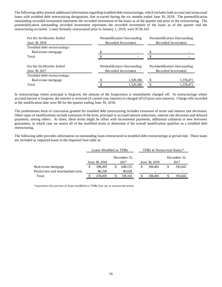The following tables present additional information regarding troubled debt restructurings, which includes both accrual and nonaccrual loans with troubled debt restructuring designation, that occurred during the six months ended June 30, 2018. The premodification outstanding recorded investment represents the recorded investment of the loans as of the quarter end prior to the restructuring. The postmodification outstanding recorded investment represents the recorded investment of the loans as of the quarter end the restructuring occurred. Loans formally restructured prior to January 1, 2018, were \$728,163.

| For the Six Months Ended<br>June 30, 2018 | Premodification Outstanding<br>Recorded Investment | Postmodification Outstanding<br>Recorded Investment |                                                     |  |  |  |
|-------------------------------------------|----------------------------------------------------|-----------------------------------------------------|-----------------------------------------------------|--|--|--|
| Troubled debt restructurings:             |                                                    |                                                     |                                                     |  |  |  |
| Real estate mortgage                      |                                                    |                                                     |                                                     |  |  |  |
| Total                                     |                                                    |                                                     |                                                     |  |  |  |
| For the Six Months Ended<br>June 30, 2017 | Premodification Outstanding<br>Recorded Investment |                                                     | Postmodification Outstanding<br>Recorded Investment |  |  |  |
| Troubled debt restructurings:             |                                                    |                                                     |                                                     |  |  |  |
| Real estate mortgage                      | 1,320,180                                          | S                                                   | 1,378,471                                           |  |  |  |
| Total                                     | 1,320,180                                          | S                                                   | 1,378,471                                           |  |  |  |

In restructurings where principal is forgiven, the amount of the forgiveness is immediately charged off. In restructurings where accrued interest is forgiven, the interest is reversed (if current year interest) or charged off (if prior year interest). Charge-offs recorded at the modification date were \$0 for the quarter ending June 30, 2018.

The predominant form of concession granted for troubled debt restructuring includes extension of terms and interest rate decreases. Other types of modifications include extension of the term, principal or accrued interest reductions, interest rate decreases and delayed payments, among others. At times, these terms might be offset with incremental payments, additional collateral or new borrower guarantees, in which case we assess all of the modified terms to determine if the overall modification qualifies as a troubled debt restructuring.

The following table provides information on outstanding loans restructured in troubled debt restructurings at period end. These loans are included as impaired loans in the impaired loan table at:

|                                  | Loans Modified as TDRs |         |              |         |               | TDRs in Nonaccrual Status* |      |              |  |
|----------------------------------|------------------------|---------|--------------|---------|---------------|----------------------------|------|--------------|--|
|                                  |                        |         | December 31. |         |               |                            |      | December 31. |  |
|                                  | June 30, 2018          |         | 2017         |         | June 30, 2018 |                            | 2017 |              |  |
| Real estate mortgage             |                        | 398,209 |              | 648.135 | \$            | 184.401                    |      | 192,643      |  |
| Production and intermediate term |                        | 80,250  |              | 80,028  |               | -                          |      |              |  |
| Total                            |                        | 478.459 |              | 728.163 |               | 184.401                    |      | 192,643      |  |

\*represents the portion of loans modified as TDRs that are in nonaccrual status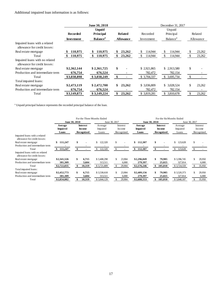# Additional impaired loan information is as follows:

|                                                                |                   | June 30, 2018               |                  | December 31, 2017 |                      |               |           |  |  |  |
|----------------------------------------------------------------|-------------------|-----------------------------|------------------|-------------------|----------------------|---------------|-----------|--|--|--|
|                                                                |                   | <b>Unpaid</b>               |                  |                   |                      |               |           |  |  |  |
|                                                                | <b>Recorded</b>   | Principal                   | <b>Related</b>   | Recorded          | Principal            |               | Related   |  |  |  |
|                                                                | <b>Investment</b> | <b>Balance</b> <sup>a</sup> | <b>Allowance</b> | Investment        | Balance <sup>a</sup> |               | Allowance |  |  |  |
| Impaired loans with a related<br>allowance for credit losses:  |                   |                             |                  |                   |                      |               |           |  |  |  |
| Real estate mortgage                                           | 110,975           | 110,975                     | 23,262           | 114,944           | \$<br>114,944        | S             | 23,262    |  |  |  |
| Total                                                          | 110,975           | 110,975                     | 23,262           | 114,944           | 114,944              |               | 23,262    |  |  |  |
| Impaired loans with no related<br>allowance for credit losses: |                   |                             |                  |                   |                      |               |           |  |  |  |
| Real estate mortgage                                           | \$2,362,144       | \$2,361,725                 | \$               | \$2,921,865       | \$2,913,580          | \$            |           |  |  |  |
| Production and intermediate term                               | 676,754           | 676,524                     |                  | 782,472           | 782,154              |               |           |  |  |  |
| Total                                                          | \$3,038,898       | \$3,038,249                 | \$               | \$3,704,337       | \$.<br>3,695,734     | -\$           |           |  |  |  |
| Total impaired loans:                                          |                   |                             |                  |                   |                      |               |           |  |  |  |
| Real estate mortgage                                           | \$2,473,119       | \$2,472,700                 | \$<br>23,262     | \$ 3,036,809      | \$ 3,028,524         | \$            | 23,262    |  |  |  |
| Production and intermediate term                               | 676,754           | 676,524                     |                  | 782,472           | 782,154              |               |           |  |  |  |
| Total                                                          | \$3,149,873       | \$3,149,224                 | 23,262<br>\$     | \$ 3,819,281      | 3.810.678<br>\$      | <sup>\$</sup> | 23,262    |  |  |  |

<sup>a</sup> Unpaid principal balance represents the recorded principal balance of the loan.

|                                                                |                 |               |                 | For the Three Months Ended |               |                          | For the Six Months Ended |    |                 |             |               |            |  |
|----------------------------------------------------------------|-----------------|---------------|-----------------|----------------------------|---------------|--------------------------|--------------------------|----|-----------------|-------------|---------------|------------|--|
|                                                                | June 30, 2018   |               |                 |                            | June 30, 2017 |                          | June 30, 2018            |    |                 |             | June 30, 2017 |            |  |
|                                                                | Average         |               | <b>Interest</b> | Average                    |               | Interest                 | Average                  |    | <b>Interest</b> | Average     |               | Interest   |  |
|                                                                | <b>Impaired</b> | <b>Income</b> |                 | Impaired                   |               | Income                   | <b>Impaired</b>          |    | <b>Income</b>   | Impaired    | Income        |            |  |
|                                                                | Loans           |               | Recognized      | Loans                      | Recognized    |                          | Recognized<br>Loans      |    |                 | Loans       |               | Recognized |  |
| Impaired loans with a related<br>allowance for credit losses:  |                 |               |                 |                            |               |                          |                          |    |                 |             |               |            |  |
| Real estate mortgage                                           | \$<br>111,247   | \$            |                 | 122,320                    | \$            |                          | \$112,307                | \$ |                 | 123,628     | \$            |            |  |
| Production and intermediate term                               |                 |               |                 |                            |               |                          |                          |    |                 |             |               |            |  |
| Total                                                          | 111,247<br>SS.  | \$            |                 | 122,320<br>\$              | \$.           | $\overline{\phantom{a}}$ | 112,307<br>\$            | \$ |                 | 123,628     |               |            |  |
| Impaired loans with no related<br>allowance for credit losses: |                 |               |                 |                            |               |                          |                          |    |                 |             |               |            |  |
| Real estate mortgage                                           | \$2,341,526     | \$            | 6.715           | \$3,408,298                | \$.           | 23,904                   | \$2,296,849              | \$ | 79,985          | \$3,396,745 | \$            | 29,950     |  |
| Production and intermediate term                               | 381,309         |               | 3,604           | 313,511                    |               | 6,000                    | 279,397                  |    | 25,025          | 327,814     |               | 6,000      |  |
| Total                                                          | \$2,722,835     | \$            | 10,319          | \$3,721,809                | \$.           | 29,904                   | \$2,576,246              |    | 105,010         | \$3,724,559 |               | 35,950     |  |
| Total impaired loans:                                          |                 |               |                 |                            |               |                          |                          |    |                 |             |               |            |  |
| Real estate mortgage                                           | \$2,452,773     | \$            | 6,715           | \$3,530,618                | \$            | 23,904                   | \$2,409,156              | \$ | 79,985          | \$3,520,373 | \$            | 29,950     |  |
| Production and intermediate term                               | 381,309         |               | 3.604           | 313,511                    |               | 6,000                    | 279,397                  |    | 25,025          | 327,814     |               | 6,000      |  |
| Total                                                          | \$2,834,082     |               | 10,319          | \$3,844,129                |               | 29,904                   | \$2,688,553              |    | 105,010         | \$3,848,187 |               | 35,950     |  |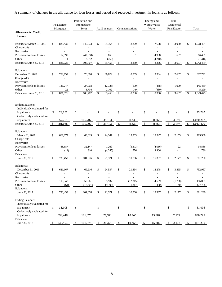A summary of changes in the allowance for loan losses and period end recorded investment in loans is as follows:

|                                                                                                                |               | Real Estate<br>Mortgage | Production and<br>Intermediate<br>Term |                  |    | Agribusiness<br>Communications |    |                          | Energy and<br>Water/Waste<br>Water |                   | Rural<br>Residential<br>Real Estate |                          | Total |                    |
|----------------------------------------------------------------------------------------------------------------|---------------|-------------------------|----------------------------------------|------------------|----|--------------------------------|----|--------------------------|------------------------------------|-------------------|-------------------------------------|--------------------------|-------|--------------------|
| <b>Allowance for Credit</b><br>Losses:                                                                         |               |                         |                                        |                  |    |                                |    |                          |                                    |                   |                                     |                          |       |                    |
| Balance at March 31, 2018                                                                                      | \$            | 828,430                 | \$                                     | 145,773          | \$ | 35,364                         | \$ | 8,229                    | \$                                 | 7,668             | \$                                  | 3,030                    | \$    | 1,028,494          |
| Charge-offs                                                                                                    |               |                         |                                        |                  |    |                                |    |                          |                                    |                   |                                     |                          |       |                    |
| Recoveries                                                                                                     |               |                         |                                        |                  |    |                                |    |                          |                                    | ٠                 |                                     |                          |       |                    |
| Provision for loan losses                                                                                      |               | 52,595                  |                                        | (42, 658)        |    | 858                            |    | 1                        |                                    | 4,938             |                                     | 667                      |       | 16,401             |
| Other                                                                                                          |               | 1                       |                                        | 3,592            |    | (769)                          |    | $\overline{\phantom{a}}$ |                                    | (4,240)           |                                     | $\overline{\phantom{a}}$ |       | (1, 416)           |
| Balance at June 30, 2018                                                                                       | $\sqrt[6]{3}$ | 881,026                 | \$                                     | 106,707          | \$ | 35,453                         | \$ | 8,230                    | \$                                 | 8,366             | \$                                  | 3,697                    | \$    | 1,043,479          |
| Balance at<br>December 31, 2017<br>Charge-offs                                                                 | \$            | 759,757                 | \$                                     | 76,000           | \$ | 36,074                         | \$ | 8,969                    | \$                                 | 9,334             | \$                                  | 2,607                    | \$    | 892,741            |
| Recoveries                                                                                                     |               |                         |                                        |                  |    |                                |    | ٠                        |                                    |                   |                                     | ÷,                       |       |                    |
| Provision for loan losses                                                                                      |               | 121,247                 |                                        | 27,003           |    | (2,723)                        |    | (690)                    |                                    | (488)             |                                     | 1,090                    |       | 145,439            |
| Other                                                                                                          |               | 22                      |                                        | 3,704            |    | 2,102                          |    | (49)                     |                                    | (480)             |                                     | $\overline{\phantom{a}}$ |       | 5,299              |
| Balance at June 30, 2018                                                                                       | \$            | 881,026                 | \$                                     | 106,707          | \$ | 35,453                         | \$ | 8,230                    | $\sqrt{2}$                         | 8,366             | \$                                  | 3,697                    | \$    | 1,043,479          |
| <b>Ending Balance:</b><br>Individually evaluated for<br>impairment<br>Collectively evaluated for               | \$            | 23,262                  | \$                                     |                  | \$ |                                | \$ |                          | \$                                 |                   | \$                                  |                          | \$    | 23,262             |
| impairment                                                                                                     |               | 857,764                 |                                        | 106,707          |    | 35,453                         |    | 8,230                    |                                    | 8,366             |                                     | 3,697                    |       | 1,020,217          |
| Balance at June 30, 2018                                                                                       | \$            | 881,026                 | \$                                     | 106,707          | \$ | 35,453                         | \$ | 8,230                    | \$                                 | 8,366             | \$                                  | 3,697                    | \$    | 1,043,479          |
| Balance at<br>March 31, 2017<br>Charge-offs<br>Recoveries<br>Provision for loan losses                         | \$            | 661,877<br>68,587       | \$                                     | 68,619<br>32,147 | \$ | 24,347<br>1,269                | \$ | 13,363<br>(3,373)        | \$                                 | 15,547<br>(4,066) | \$                                  | 2,155<br>22              | \$    | 785,908<br>94,586  |
| Other                                                                                                          |               | (11)                    |                                        | 310              |    | (4,245)                        |    | 776                      |                                    | 3,906             |                                     |                          |       | 736                |
| Balance at                                                                                                     |               |                         |                                        |                  |    |                                |    |                          |                                    |                   |                                     |                          |       |                    |
| June 30, 2017                                                                                                  | -S            | 730,453                 | \$                                     | 101,076          | S  | 21,371                         | \$ | 10,766                   | \$                                 | 15,387            | \$                                  | 2,177                    | \$    | 881,230            |
| Balance at<br>December 31, 2016<br>Charge-offs<br>Recoveries<br>Provision for loan losses                      | \$            | 621,167<br>109,347      | \$                                     | 69,216<br>50,261 | \$ | 24,537<br>5,937                | \$ | 21,864<br>(12, 315)      | \$                                 | 12,278<br>4,589   | \$                                  | 3,895<br>(1,758)         | \$    | 752,957<br>156,061 |
| Other                                                                                                          |               | (61)                    |                                        | (18, 401)        |    | (9,103)                        |    | 1,217                    |                                    | (1,480)           |                                     | 40                       |       | (27, 788)          |
| Balance at                                                                                                     |               |                         |                                        |                  |    |                                |    |                          |                                    |                   |                                     |                          |       |                    |
| June 30, 2017                                                                                                  | -S            | 730,453                 | \$                                     | 101,076          | \$ | 21,371                         | \$ | 10,766                   | \$                                 | 15,387            | \$                                  | 2,177                    | \$    | 881,230            |
| <b>Ending Balance:</b><br>Individually evaluated for<br>impairment<br>Collectively evaluated for<br>impairment | \$            | 31,005<br>699,448       | \$                                     | 101,076          | \$ | 21,371                         | \$ | 10,766                   | \$                                 | 15,387            | \$                                  | 2,177                    | \$    | 31,005<br>850,225  |
| Balance at                                                                                                     |               |                         |                                        |                  |    |                                |    |                          |                                    |                   |                                     |                          |       |                    |
| June 30, 2017                                                                                                  |               | 730,453                 |                                        | 101,076          | \$ | 21,371                         | \$ | 10,766                   | \$                                 | 15,387            | \$                                  | 2,177                    | \$    | 881,230            |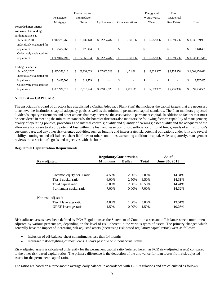|                             |                  | Production and              |              |                 | Energy and       | Rural       |                   |
|-----------------------------|------------------|-----------------------------|--------------|-----------------|------------------|-------------|-------------------|
|                             | Real Estate      | Intermediate                |              |                 | Water/Waste      | Residential |                   |
|                             | Mortgage         | Term                        | Agribusiness | Communications  | Water            | Real Estate | Total             |
| <b>Recorded Investments</b> |                  |                             |              |                 |                  |             |                   |
| in Loans Outstanding:       |                  |                             |              |                 |                  |             |                   |
| Ending Balance at           |                  |                             |              |                 |                  |             |                   |
| June 30, 2018               | \$912,279,766    | 73,037,148<br><sup>\$</sup> | \$32,294,487 | \$<br>3,831,156 | 12,257,856<br>\$ | \$2,899,586 | \$1,036,599,999   |
| Individually evaluated for  |                  |                             |              |                 |                  |             |                   |
| impairment                  | 2,472,067<br>\$. | 676,414<br>S                | \$           | \$              | \$               |             | 3,148,481         |
| Collectively evaluated for  |                  |                             |              |                 |                  |             |                   |
| impairment                  | \$909,807,699    | 72,360,734<br>£.            | \$32,294,487 | \$<br>3,831,156 | \$<br>12,257,856 | \$2,899,586 | \$1,033,451,518   |
|                             |                  |                             |              |                 |                  |             |                   |
| Ending Balance at           |                  |                             |              |                 |                  |             |                   |
| June 30, 2017               | 885, 353, 216    | 68,831,003<br>\$.           | \$27,802,323 | \$<br>4,421,611 | \$<br>12,329,907 | \$2,735,956 | \$1,001,474,016   |
| Individually evaluated for  |                  |                             |              |                 |                  |             |                   |
| impairment                  | 3,425,706        | 311,779<br>S.               | \$           | \$              | \$               |             | 3,737,485         |
| Collectively evaluated for  |                  |                             |              |                 |                  |             |                   |
| impairment                  | \$881,927,510    | 68,519,224<br>S.            | \$27,802,323 | \$<br>4,421,611 | \$<br>12,329,907 | \$2,735,956 | 997,736,531<br>\$ |
|                             |                  |                             |              |                 |                  |             |                   |

# **NOTE 4 –– CAPITAL:**

The association's board of directors has established a Capital Adequacy Plan (Plan) that includes the capital targets that are necessary to achieve the institution's capital adequacy goals as well as the minimum permanent capital standards. The Plan monitors projected dividends, equity retirements and other actions that may decrease the association's permanent capital. In addition to factors that must be considered in meeting the minimum standards, the board of directors also monitors the following factors: capability of management; quality of operating policies, procedures and internal controls; quality and quantity of earnings; asset quality and the adequacy of the allowance for losses to absorb potential loss within the loan and lease portfolios; sufficiency of liquid funds; needs of an institution's customer base; and any other risk-oriented activities, such as funding and interest rate risk, potential obligations under joint and several liability, contingent and off-balance-sheet liabilities or other conditions warranting additional capital. At least quarterly, management reviews the association's goals and objectives with the board.

#### **Regulatory Capitalization Requirements**

|                            | <b>RegulatoryConservation</b>    |          |              | As of         |  |  |
|----------------------------|----------------------------------|----------|--------------|---------------|--|--|
| Risk-adjusted:             | <b>Minimums</b><br><b>Buffer</b> |          | <b>Total</b> | June 30, 2018 |  |  |
|                            |                                  |          |              |               |  |  |
|                            |                                  |          |              |               |  |  |
| Common equity tier 1 ratio | 4.50%                            | 2.50%    | 7.00%        | 14.31%        |  |  |
| Tier 1 capital ratio       | $6.00\%$                         | 2.50%    | 8.50%        | 14.31%        |  |  |
| Total capital ratio        | 8.00%                            | 2.50%    | 10.50%       | 14.41%        |  |  |
| Permanent capital ratio    | 7.00%                            | $0.00\%$ | 7.00%        | 14.32%        |  |  |
| Non-risk-adjusted:         |                                  |          |              |               |  |  |
| Tier 1 leverage ratio      | 4.00%                            | 1.00%    | 5.00%        | 13.51%        |  |  |
| UREE leverage ratio        | 1.50%                            | $0.00\%$ | 1.50%        | 10.26%        |  |  |

Risk-adjusted assets have been defined by FCA Regulations as the Statement of Condition assets and off-balance-sheet commitments adjusted by various percentages, depending on the level of risk inherent in the various types of assets. The primary changes which generally have the impact of increasing risk-adjusted assets (decreasing risk-based regulatory capital ratios) were as follows:

- Inclusion of off-balance-sheet commitments less than 14 months
- Increased risk-weighting of most loans 90 days past due or in nonaccrual status

Risk-adjusted assets is calculated differently for the permanent capital ratio (referred herein as PCR risk-adjusted assets) compared to the other risk-based capital ratios. The primary difference is the deduction of the allowance for loan losses from risk-adjusted assets for the permanent capital ratio.

The ratios are based on a three-month average daily balance in accordance with FCA regulations and are calculated as follows: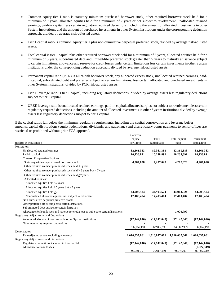- Common equity tier 1 ratio is statutory minimum purchased borrower stock, other required borrower stock held for a minimum of 7 years, allocated equities held for a minimum of 7 years or not subject to revolvement, unallocated retained earnings, paid-in capital, less certain regulatory required deductions including the amount of allocated investments in other System institutions, and the amount of purchased investments in other System institutions under the corresponding deduction approach, divided by average risk-adjusted assets.
- Tier 1 capital ratio is common equity tier 1 plus non-cumulative perpetual preferred stock, divided by average risk-adjusted assets.
- Total capital is tier 1 capital plus other required borrower stock held for a minimum of 5 years, allocated equities held for a minimum of 5 years, subordinated debt and limited-life preferred stock greater than 5 years to maturity at issuance subject to certain limitations, allowance and reserve for credit losses under certain limitations less certain investments in other System institutions under the corresponding deduction approach, divided by average risk-adjusted assets.
- Permanent capital ratio (PCR) is all at-risk borrower stock, any allocated excess stock, unallocated retained earnings, paidin capital, subordinated debt and preferred subject to certain limitations, less certain allocated and purchased investments in other System institutions, divided by PCR risk-adjusted assets.
- Tier 1 leverage ratio is tier 1 capital, including regulatory deductions, divided by average assets less regulatory deductions subject to tier 1 capital.
- UREE leverage ratio is unallocated retained earnings, paid-in capital, allocated surplus not subject to revolvement less certain regulatory required deductions including the amount of allocated investments in other System institutions divided by average assets less regulatory deductions subject to tier 1 capital.

If the capital ratios fall below the minimum regulatory requirements, including the capital conservation and leverage buffer amounts, capital distributions (equity redemptions, dividends, and patronage) and discretionary bonus payments to senior offices are restricted or prohibited without prior FCA approval.

|                                                                                        | Common         |                |                |                |
|----------------------------------------------------------------------------------------|----------------|----------------|----------------|----------------|
|                                                                                        | equity         | Tier 1         | Total capital  | Permanent      |
| (dollars in thousands)                                                                 | tier 1 ratio   | capital ratio  | ratio          | capital ratio  |
| Numerator:                                                                             |                |                |                |                |
| Unallocated retained earnings                                                          | 82,361,383     | 82,361,383     | 82,361,383     | 82,361,383     |
| Paid-in capital                                                                        | 10,238,891     | 10,238,891     | 10,238,891     | 10,238,891     |
| Common Cooperative Equities:                                                           |                |                |                |                |
| Statutory minimum purchased borrower stock                                             | 4,287,028      | 4,287,028      | 4,287,028      | 4,287,028      |
| Other required member purchased stock held <5 years                                    |                |                |                |                |
| Other required member purchased stock held $>$ 5 years but < 7 years                   |                |                |                |                |
| Other required member purchased stock held >7 years                                    |                |                |                |                |
| Allocated equities:                                                                    |                |                |                |                |
| Allocated equities held <5 years                                                       |                |                |                |                |
| Allocated equities held $>5$ years but < 7 years                                       |                |                |                |                |
| Allocated equities held >7                                                             | 44,903,524     | 44,903,524     | 44,903,524     | 44,903,524     |
| Nonqualified allocated equities not subject to retirement                              | 17,403,404     | 17,403,404     | 17,403,404     | 17,403,404     |
| Non-cumulative perpetual preferred stock                                               |                |                |                |                |
| Other preferred stock subject to certain limitations                                   |                |                |                |                |
| Subordinated debt subject to certain limitation                                        |                |                |                |                |
| Allowance for loan losses and reserve for credit losses subject to certain limitations |                |                | 1,070,799      |                |
| Regulatory Adjustments and Deductions:                                                 |                |                |                |                |
| Amount of allocated investments in other System institutions                           | (17, 142, 040) | (17, 142, 040) | (17, 142, 040) | (17, 142, 040) |
| Other regulatory required deductions                                                   |                |                |                |                |
|                                                                                        | 142,052,190    | 142,052,190    | 143,122,989    | 142,052,190    |
| Denominator:                                                                           |                |                |                |                |
| Risk-adjusted assets excluding allowance                                               | 1,010,037,061  | 1,010,037,061  | 1,010,037,061  | 1,010,037,061  |
| Regulatory Adjustments and Deductions:                                                 |                |                |                |                |
| Regulatory deductions included in total capital                                        | (17, 142, 040) | (17, 142, 040) | (17, 142, 040) | (17, 142, 040) |
| Allowance for loan losses                                                              |                |                |                | (1,027,319)    |
|                                                                                        | 992,895,021    | 992,895,021    | 992,895,021    | 991,867,702    |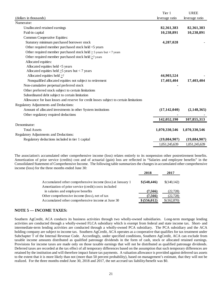|                                                                                        | Tier 1         | <b>UREE</b>    |
|----------------------------------------------------------------------------------------|----------------|----------------|
| (dollars in thousands)                                                                 | leverage ratio | leverage ratio |
| Numerator:                                                                             |                |                |
| Unallocated retained earnings                                                          | 82,361,383     | 82,361,383     |
| Paid-in capital                                                                        | 10,238,891     | 10,238,891     |
| Common Cooperative Equities:                                                           |                |                |
| Statutory minimum purchased borrower stock                                             | 4,287,028      |                |
| Other required member purchased stock held <5 years                                    |                |                |
| Other required member purchased stock held $\geq$ 5 years but < 7 years                |                |                |
| Other required member purchased stock held $\geq$ 7 years                              |                |                |
| Allocated equities:                                                                    |                |                |
| Allocated equities held <5 years                                                       |                |                |
| Allocated equities held $>5$ years but < 7 years                                       |                |                |
| Allocated equities held >7                                                             | 44,903,524     |                |
| Nonqualified allocated equities not subject to retirement                              | 17,403,404     | 17,403,404     |
| Non-cumulative perpetual preferred stock                                               |                |                |
| Other preferred stock subject to certain limitations                                   |                |                |
| Subordinated debt subject to certain limitation                                        |                |                |
| Allowance for loan losses and reserve for credit losses subject to certain limitations |                |                |
| Regulatory Adjustments and Deductions:                                                 |                |                |
| Amount of allocated investments in other System institutions                           | (17, 142, 040) | (2,148,365)    |
| Other regulatory required deductions                                                   |                |                |
|                                                                                        | 142,052,190    | 107,855,313    |
| Denominator:                                                                           |                |                |
| <b>Total Assets</b>                                                                    | 1,070,330,546  | 1,070,330,546  |
| Regulatory Adjustments and Deductions:                                                 |                |                |
| Regulatory deductions included in tier 1 capital                                       | (19,084,907)   | (19,084,907)   |
|                                                                                        | 1,051,245,639  | 1,051,245,639  |

The association's accumulated other comprehensive income (loss) relates entirely to its nonpension other postretirement benefits. Amortization of prior service (credits) cost and of actuarial (gain) loss are reflected in "Salaries and employee benefits" in the Consolidated Statement of Comprehensive Income. The following table summarizes the changes in accumulated other comprehensive income (loss) for the three months ended June 30:

|                                                                                                                     | 2018          | 2017         |
|---------------------------------------------------------------------------------------------------------------------|---------------|--------------|
| Accumulated other comprehensive income (loss) at January 1<br>Amortization of prior service (credit) costs included | \$ (548, 446) | \$(140, 142) |
| in salaries and employee benefits                                                                                   | (7,566)       | (22, 728)    |
| Other comprehensive income (loss), net of tax                                                                       | (7,566)       | (22, 728)    |
| Accumulated other comprehensive income at June 30                                                                   | \$ (556, 012) | \$(162,870)  |

# **NOTE 5 — INCOME TAXES:**

Southern AgCredit, ACA conducts its business activities through two wholly-owned subsidiaries. Long-term mortgage lending activities are conducted through a wholly-owned FLCA subsidiary which is exempt from federal and state income tax. Short- and intermediate-term lending activities are conducted through a wholly-owned PCA subsidiary. The PCA subsidiary and the ACA holding company are subject to income tax. Southern AgCredit, ACA operates as a cooperative that qualifies for tax treatment under Subchapter T of the Internal Revenue Code. Accordingly, under specified conditions, Southern AgCredit, ACA can exclude from taxable income amounts distributed as qualified patronage dividends in the form of cash, stock or allocated retained earnings. Provisions for income taxes are made only on those taxable earnings that will not be distributed as qualified patronage dividends. Deferred taxes are recorded at the tax effect of all temporary differences based on the assumption that such temporary differences are retained by the institution and will therefore impact future tax payments. A valuation allowance is provided against deferred tax assets to the extent that it is more likely than not (more than 50 percent probability), based on management's estimate, that they will not be realized. For the three months ended June 30, 2018 and 2017, the net accrued tax liability/benefit was \$0.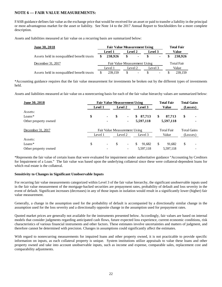# **NOTE 6 — FAIR VALUE MEASUREMENTS:**

FASB guidance defines fair value as the exchange price that would be received for an asset or paid to transfer a liability in the principal or most advantageous market for the asset or liability. See Note 14 to the 2017 Annual Report to Stockholders for a more complete description.

Assets and liabilities measured at fair value on a recurring basis are summarized below:

| <u>June 30, 2018</u>                       |                              | <b>Fair Value Measurement Using</b> |         | <b>Total Fair</b>        |         |                   |       |         |
|--------------------------------------------|------------------------------|-------------------------------------|---------|--------------------------|---------|-------------------|-------|---------|
|                                            |                              | Level 1                             | Level 2 |                          | Level 3 |                   | Value |         |
| Assets held in nonqualified benefit trusts |                              | 238.926                             | S       | $\sim$                   | -S      | $\blacksquare$    |       | 238.926 |
| December 31, 2017                          | Fair Value Measurement Using |                                     |         |                          |         | <b>Total Fair</b> |       |         |
|                                            |                              | Level 1                             | Level 2 |                          | Level 3 |                   |       | Value   |
| Assets held in nonqualified benefit trusts |                              | 239.159                             |         | $\overline{\phantom{a}}$ |         | -                 |       | 239.159 |

\*Accounting guidance requires that the fair value measurement for investments be broken out by the different types of investments held.

Assets and liabilities measured at fair value on a nonrecurring basis for each of the fair value hierarchy values are summarized below:

| June 30, 2018        | <b>Fair Value Measurement Using</b> |                          |         |                          |                   | <b>Total Fair</b> |                    | <b>Total Gains</b> |   |
|----------------------|-------------------------------------|--------------------------|---------|--------------------------|-------------------|-------------------|--------------------|--------------------|---|
|                      | Level 1                             |                          | Level 2 |                          | Level 3           | <b>Value</b>      |                    | (Losses)           |   |
| Assets:              |                                     |                          |         |                          |                   |                   |                    |                    |   |
| $Loans*$             | \$                                  | ٠                        | \$      | ٠                        | 87,713<br>SS.     | \$                | 87,713             | \$                 | ۰ |
| Other property owned |                                     | ۰                        |         | $\blacksquare$           | 5,597,118         |                   | 5,597,118          |                    |   |
| December 31, 2017    | Fair Value Measurement Using        |                          |         |                          | <b>Total Fair</b> |                   | <b>Total Gains</b> |                    |   |
|                      | Level 1                             |                          | Level 2 |                          | Level 3           | Value             |                    | (Losses)           |   |
| Assets:              |                                     |                          |         |                          |                   |                   |                    |                    |   |
| $Loans*$             | \$                                  | $\overline{\phantom{a}}$ | \$      | $\overline{\phantom{a}}$ | \$<br>91,682      | \$                | 91,682             | \$                 |   |
| Other property owned |                                     |                          |         | $\overline{\phantom{a}}$ | 5,597,118         |                   | 5,597,118          |                    |   |

\*Represents the fair value of certain loans that were evaluated for impairment under authoritative guidance "Accounting by Creditors for Impairment of a Loan." The fair value was based upon the underlying collateral since these were collateral-dependent loans for which real estate is the collateral.

## **Sensitivity to Changes in Significant Unobservable Inputs**

For recurring fair value measurements categorized within Level 3 of the fair value hierarchy, the significant unobservable inputs used in the fair value measurement of the mortgage-backed securities are prepayment rates, probability of default and loss severity in the event of default. Significant increases (decreases) in any of those inputs in isolation would result in a significantly lower (higher) fair value measurement.

Generally, a change in the assumption used for the probability of default is accompanied by a directionally similar change in the assumption used for the loss severity and a directionally opposite change in the assumption used for prepayment rates.

Quoted market prices are generally not available for the instruments presented below. Accordingly, fair values are based on internal models that consider judgments regarding anticipated cash flows, future expected loss experience, current economic conditions, risk characteristics of various financial instruments and other factors. These estimates involve uncertainties and matters of judgment, and therefore cannot be determined with precision. Changes in assumptions could significantly affect the estimates.

With regard to nonrecurring measurements for impaired loans and other property owned, it is not practicable to provide specific information on inputs, as each collateral property is unique. System institutions utilize appraisals to value these loans and other property owned and take into account unobservable inputs, such as income and expense, comparable sales, replacement cost and comparability adjustments.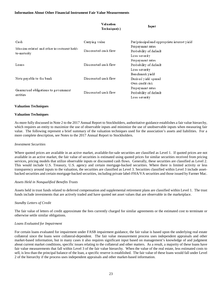|                                                           | Valuation<br>Technique(s) | Input                                                       |  |  |
|-----------------------------------------------------------|---------------------------|-------------------------------------------------------------|--|--|
| Cash                                                      | Canying value             | Par/principal and appropriate interest yield                |  |  |
| Mission-related and other investment held-<br>to-maturity | Discounted cash flow      | Prepayment rates<br>Probability of default<br>Loss severity |  |  |
| Loans                                                     | Discounted cash flow      | Prepayment rates<br>Probability of default<br>Loss severity |  |  |
| Note payable to the bank                                  | Discounted cash flow      | Benchmark yield<br>Derived yield spread<br>Own credit risk  |  |  |
| Guaranteed obligations to government<br>entities          | Discounted cash flow      | Prepayment rates<br>Probability of default<br>Loss severity |  |  |

### **Valuation Techniques**

## **Valuation Techniques**

As more fully discussed in Note 2 to the 2017 Annual Report to Stockholders, authoritative guidance establishes a fair value hierarchy, which requires an entity to maximize the use of observable inputs and minimize the use of unobservable inputs when measuring fair value. The following represent a brief summary of the valuation techniques used for the association's assets and liabilities. For a more complete description, see Notes to the 2017 Annual Report to Stockholders.

#### *Investment Securities*

Where quoted prices are available in an active market, available-for-sale securities are classified as Level 1. If quoted prices are not available in an active market, the fair value of securities is estimated using quoted prices for similar securities received from pricing services, pricing models that utilize observable inputs or discounted cash flows. Generally, these securities are classified as Level 2. This would include U.S. Treasury, U.S. agency and certain mortgage-backed securities. Where there is limited activity or less transparency around inputs to the valuation, the securities are classified as Level 3. Securities classified within Level 3 include assetbacked securities and certain mortgage-backed securities, including private label-FHA/VA securities and those issued by Farmer Mac.

## *Assets Held in Nonqualified Benefits Trusts*

Assets held in trust funds related to deferred compensation and supplemental retirement plans are classified within Level 1. The trust funds include investments that are actively traded and have quoted net asset values that are observable in the marketplace.

## *Standby Letters of Credit*

The fair value of letters of credit approximate the fees currently charged for similar agreements or the estimated cost to terminate or otherwise settle similar obligations.

## *Loans Evaluated for Impairment*

For certain loans evaluated for impairment under FASB impairment guidance, the fair value is based upon the underlying real estate collateral since the loans were collateral-dependent. The fair value measurement process uses independent appraisals and other market-based information, but in many cases it also requires significant input based on management's knowledge of and judgment about current market conditions, specific issues relating to the collateral and other matters. As a result, a majority of these loans have fair value measurements that fall within Level 3 of the fair value hierarchy. When the value of the real estate, less estimated costs to sell, is less than the principal balance of the loan, a specific reserve is established. The fair value of these loans would fall under Level 2 of the hierarchy if the process uses independent appraisals and other market-based information.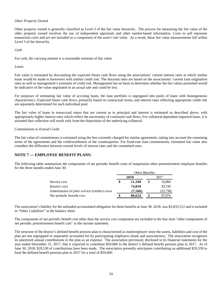### *Other Property Owned*

Other property owned is generally classified as Level 3 of the fair value hierarchy. The process for measuring the fair value of the other property owned involves the use of independent appraisals and other market-based information. Costs to sell represent transaction costs and are not included as a component of the asset's fair value. As a result, these fair value measurements fall within Level 3 of the hierarchy.

*Cash* 

For cash, the carrying amount is a reasonable estimate of fair value.

*Loans* 

Fair value is estimated by discounting the expected future cash flows using the associations' current interest rates at which similar loans would be made to borrowers with similar credit risk. The discount rates are based on the associations' current loan origination rates as well as management's estimates of credit risk. Management has no basis to determine whether the fair values presented would be indicative of the value negotiated in an actual sale and could be less.

For purposes of estimating fair value of accruing loans, the loan portfolio is segregated into pools of loans with homogeneous characteristics. Expected future cash flows, primarily based on contractual terms, and interest rates reflecting appropriate credit risk are separately determined for each individual pool.

The fair value of loans in nonaccrual status that are current as to principal and interest is estimated as described above, with appropriately higher interest rates which reflect the uncertainty of continued cash flows. For collateral-dependent impaired loans, it is assumed that collection will result only from the disposition of the underlying collateral.

### *Commitments to Extend Credit*

The fair value of commitments is estimated using the fees currently charged for similar agreements, taking into account the remaining terms of the agreements and the creditworthiness of the counterparties. For fixed-rate loan commitments, estimated fair value also considers the difference between current levels of interest rates and the committed rates.

## **NOTE 7 — EMPLOYEE BENEFIT PLANS:**

The following table summarizes the components of net periodic benefit costs of nonpension other postretirement employee benefits for the three months ended June 30:

|                                               | Other Benefits |         |      |          |  |
|-----------------------------------------------|----------------|---------|------|----------|--|
|                                               | 2018           |         | 2017 |          |  |
| Service cost                                  | \$             | 21,340  | \$   | 16,984   |  |
| Interest cost                                 |                | 74,850  |      | 93,720   |  |
| Amortization of prior service (credits) costs |                | (7,566) |      | (22,730) |  |
| Net periodic benefit cost                     |                | 88,624  |      | 87.974   |  |

The association's liability for the unfunded accumulated obligation for these benefits at June 30, 2018, was \$3,833,512 and is included in "Other Liabilities" in the balance sheet.

The components of net periodic benefit cost other than the service cost component are included in the line item "other components of net periodic postretirement benefit cost" in the income statement.

The structure of the district's defined benefit pension plan is characterized as multiemployer since the assets, liabilities and cost of the plan are not segregated or separately accounted for by participating employers (bank and associations). The association recognizes its amortized annual contributions to the plan as an expense. The association previously disclosed in its financial statements for the year ended December 31, 2017, that it expected to contribute \$59,060 to the district's defined benefit pension plan in 2017. As of June 30, 2018, \$29,530 of contributions have been made. The association presently anticipates contributing an additional \$29,530 to fund the defined benefit pension plan in 2017 for a total of \$59,060.